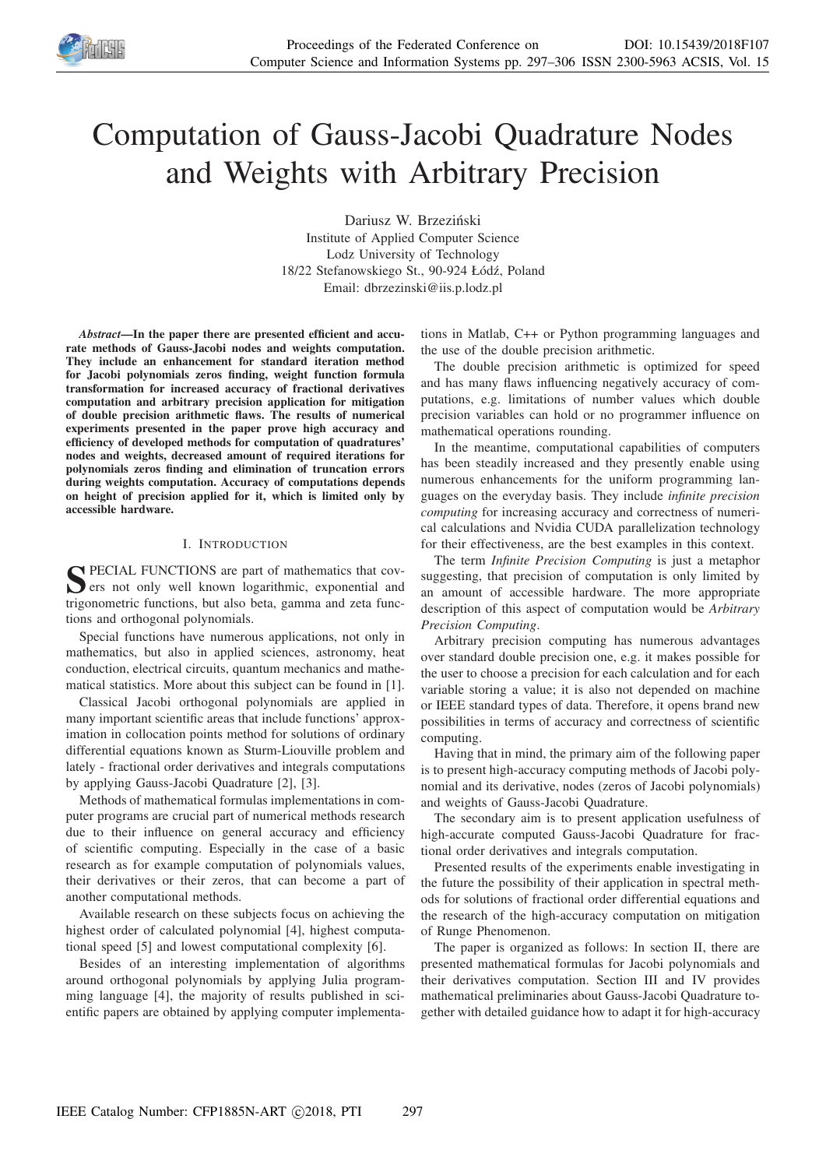

# Computation of Gauss-Jacobi Quadrature Nodes and Weights with Arbitrary Precision

Dariusz W. Brzeziński Institute of Applied Computer Science Lodz University of Technology 18/22 Stefanowskiego St., 90-924 Łódź, Poland Email: dbrzezinski@iis.p.lodz.pl

*Abstract*—In the paper there are presented efficient and accurate methods of Gauss-Jacobi nodes and weights computation. They include an enhancement for standard iteration method for Jacobi polynomials zeros finding, weight function formula transformation for increased accuracy of fractional derivatives computation and arbitrary precision application for mitigation of double precision arithmetic flaws. The results of numerical experiments presented in the paper prove high accuracy and efficiency of developed methods for computation of quadratures' nodes and weights, decreased amount of required iterations for polynomials zeros finding and elimination of truncation errors during weights computation. Accuracy of computations depends on height of precision applied for it, which is limited only by accessible hardware.

## I. INTRODUCTION

S PECIAL FUNCTIONS are part of mathematics that covers not only well known logarithmic, exponential and ers not only well known logarithmic, exponential and trigonometric functions, but also beta, gamma and zeta functions and orthogonal polynomials.

Special functions have numerous applications, not only in mathematics, but also in applied sciences, astronomy, heat conduction, electrical circuits, quantum mechanics and mathematical statistics. More about this subject can be found in [1].

Classical Jacobi orthogonal polynomials are applied in many important scientific areas that include functions' approximation in collocation points method for solutions of ordinary differential equations known as Sturm-Liouville problem and lately - fractional order derivatives and integrals computations by applying Gauss-Jacobi Quadrature [2], [3].

Methods of mathematical formulas implementations in computer programs are crucial part of numerical methods research due to their influence on general accuracy and efficiency of scientific computing. Especially in the case of a basic research as for example computation of polynomials values, their derivatives or their zeros, that can become a part of another computational methods.

Available research on these subjects focus on achieving the highest order of calculated polynomial [4], highest computational speed [5] and lowest computational complexity [6].

Besides of an interesting implementation of algorithms around orthogonal polynomials by applying Julia programming language [4], the majority of results published in scientific papers are obtained by applying computer implementations in Matlab, C++ or Python programming languages and the use of the double precision arithmetic.

The double precision arithmetic is optimized for speed and has many flaws influencing negatively accuracy of computations, e.g. limitations of number values which double precision variables can hold or no programmer influence on mathematical operations rounding.

In the meantime, computational capabilities of computers has been steadily increased and they presently enable using numerous enhancements for the uniform programming languages on the everyday basis. They include *infinite precision computing* for increasing accuracy and correctness of numerical calculations and Nvidia CUDA parallelization technology for their effectiveness, are the best examples in this context.

The term *Infinite Precision Computing* is just a metaphor suggesting, that precision of computation is only limited by an amount of accessible hardware. The more appropriate description of this aspect of computation would be *Arbitrary Precision Computing*.

Arbitrary precision computing has numerous advantages over standard double precision one, e.g. it makes possible for the user to choose a precision for each calculation and for each variable storing a value; it is also not depended on machine or IEEE standard types of data. Therefore, it opens brand new possibilities in terms of accuracy and correctness of scientific computing.

Having that in mind, the primary aim of the following paper is to present high-accuracy computing methods of Jacobi polynomial and its derivative, nodes (zeros of Jacobi polynomials) and weights of Gauss-Jacobi Quadrature.

The secondary aim is to present application usefulness of high-accurate computed Gauss-Jacobi Quadrature for fractional order derivatives and integrals computation.

Presented results of the experiments enable investigating in the future the possibility of their application in spectral methods for solutions of fractional order differential equations and the research of the high-accuracy computation on mitigation of Runge Phenomenon.

The paper is organized as follows: In section II, there are presented mathematical formulas for Jacobi polynomials and their derivatives computation. Section III and IV provides mathematical preliminaries about Gauss-Jacobi Quadrature together with detailed guidance how to adapt it for high-accuracy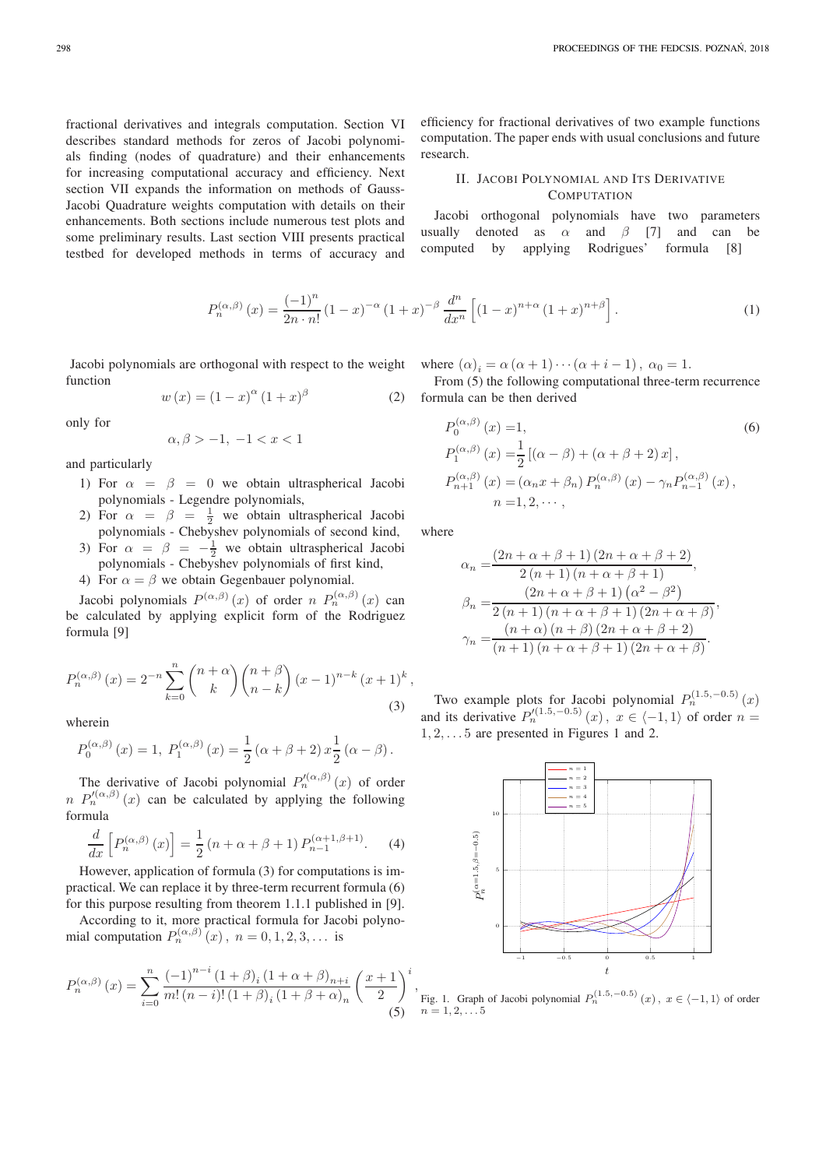fractional derivatives and integrals computation. Section VI describes standard methods for zeros of Jacobi polynomials finding (nodes of quadrature) and their enhancements for increasing computational accuracy and efficiency. Next section VII expands the information on methods of Gauss-Jacobi Quadrature weights computation with details on their enhancements. Both sections include numerous test plots and some preliminary results. Last section VIII presents practical testbed for developed methods in terms of accuracy and

> $P_n^{(\alpha,\beta)}$  $f(x) = \frac{(-1)^n}{2}$  $(1 - x)$  $-\alpha$  $(1 + x)$  $-\beta$  d n  $dx^n$ h  $(1 - x)$  $n+\alpha$  $(1 + x)$  $n+\beta$ i

Jacobi polynomials are orthogonal with respect to the weight function

$$
w(x) = (1 - x)^{\alpha} (1 + x)^{\beta}
$$
 (2)

only for

$$
\alpha,\beta>-1,\ -1
$$

and particularly

- 1) For  $\alpha = \beta = 0$  we obtain ultraspherical Jacobi polynomials - Legendre polynomials,
- 2) For  $\alpha = \beta = \frac{1}{2}$  we obtain ultraspherical Jacobi polynomials - Chebyshev polynomials of second kind,
- 3) For  $\alpha = \beta = -\frac{1}{2}$  we obtain ultraspherical Jacobi polynomials - Chebyshev polynomials of first kind,
- 4) For  $\alpha = \beta$  we obtain Gegenbauer polynomial.

Jacobi polynomials  $P^{(\alpha,\beta)}(x)$  of order  $n P^{(\alpha,\beta)}_n(x)$  can be calculated by applying explicit form of the Rodriguez formula [9]

$$
P_n^{(\alpha,\beta)}(x) = 2^{-n} \sum_{k=0}^n {n+\alpha \choose k} {n+\beta \choose n-k} (x-1)^{n-k} (x+1)^k,
$$
\n(3)

wherein

$$
P_0^{(\alpha,\beta)}(x) = 1, P_1^{(\alpha,\beta)}(x) = \frac{1}{2} (\alpha + \beta + 2) x \frac{1}{2} (\alpha - \beta).
$$

The derivative of Jacobi polynomial  $P_n^{\prime(\alpha,\beta)}(x)$  of order  $n P_n^{\prime(\alpha,\beta)}(x)$  can be calculated by applying the following formula

$$
\frac{d}{dx}\left[P_n^{(\alpha,\beta)}(x)\right] = \frac{1}{2}\left(n+\alpha+\beta+1\right)P_{n-1}^{(\alpha+1,\beta+1)}.\tag{4}
$$

However, application of formula (3) for computations is impractical. We can replace it by three-term recurrent formula (6) for this purpose resulting from theorem 1.1.1 published in [9].

According to it, more practical formula for Jacobi polynomial computation  $P_n^{(\alpha,\beta)}(x)$ ,  $n = 0, 1, 2, 3, \dots$  is

$$
P_n^{(\alpha,\beta)}(x) = \sum_{i=0}^n \frac{(-1)^{n-i} (1+\beta)_i (1+\alpha+\beta)_{n+i}}{m! (n-i)! (1+\beta)_i (1+\beta+\alpha)_n} \left(\frac{x+1}{2}\right)^i,
$$
(5)

efficiency for fractional derivatives of two example functions computation. The paper ends with usual conclusions and future research.

# II. JACOBI POLYNOMIAL AND ITS DERIVATIVE **COMPUTATION**

Jacobi orthogonal polynomials have two parameters usually denoted as  $\alpha$  and  $\beta$  [7] and can be computed by applying Rodrigues' formula [8]

$$
f^{(x,\beta)}(x) = \frac{(-1)^n}{2n \cdot n!} (1-x)^{-\alpha} (1+x)^{-\beta} \frac{d^n}{dx^n} \left[ (1-x)^{n+\alpha} (1+x)^{n+\beta} \right].
$$
 (1)

where  $(\alpha)_i = \alpha (\alpha + 1) \cdots (\alpha + i - 1)$ ,  $\alpha_0 = 1$ .

From  $(5)$  the following computational three-term recurrence formula can be then derived

$$
P_0^{(\alpha,\beta)}(x) = 1,
$$
\n
$$
P_1^{(\alpha,\beta)}(x) = \frac{1}{2} [(\alpha - \beta) + (\alpha + \beta + 2)x],
$$
\n
$$
P_{n+1}^{(\alpha,\beta)}(x) = (\alpha_n x + \beta_n) P_n^{(\alpha,\beta)}(x) - \gamma_n P_{n-1}^{(\alpha,\beta)}(x),
$$
\n
$$
n = 1, 2, \cdots,
$$
\n(6)

where

$$
\alpha_n = \frac{(2n + \alpha + \beta + 1)(2n + \alpha + \beta + 2)}{2(n + 1)(n + \alpha + \beta + 1)},
$$
  
\n
$$
\beta_n = \frac{(2n + \alpha + \beta + 1)(\alpha^2 - \beta^2)}{2(n + 1)(n + \alpha + \beta + 1)(2n + \alpha + \beta)},
$$
  
\n
$$
\gamma_n = \frac{(n + \alpha)(n + \beta)(2n + \alpha + \beta + 2)}{(n + 1)(n + \alpha + \beta + 1)(2n + \alpha + \beta)}.
$$

Two example plots for Jacobi polynomial  $P_n^{(1.5,-0.5)}(x)$ and its derivative  $P_n'^{(1.5,-0.5)}(x)$ ,  $x \in \langle -1, 1 \rangle$  of order  $n =$  $1, 2, \ldots 5$  are presented in Figures 1 and 2.



Fig. 1. Graph of Jacobi polynomial  $P_n^{(1.5,-0.5)}(x)$ ,  $x \in \langle -1, 1 \rangle$  of order  $n = 1, 2, \ldots, 5$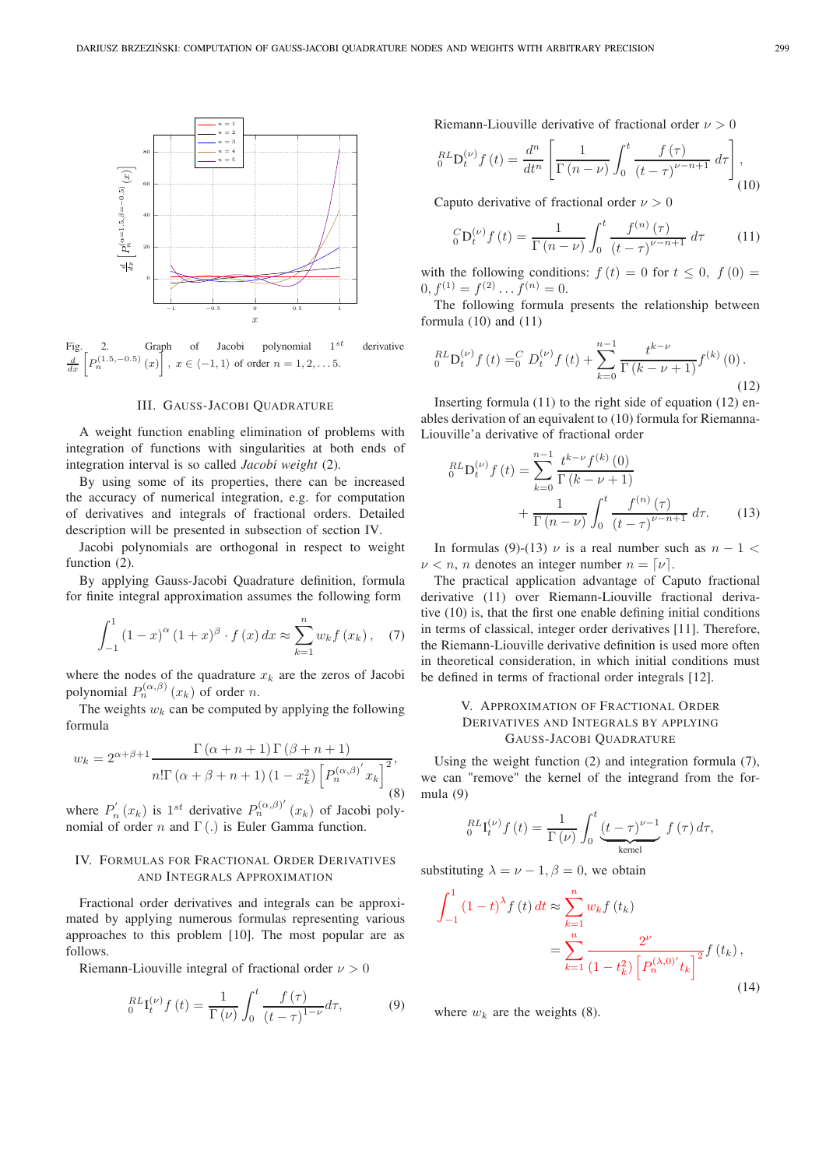

Fig. 2. Graph of Jacobi polynomial 1  $1^{st}$  derivative  $\frac{d}{dx}\left[P_n^{(1.5,-0.5)}(x)\right], x \in \langle -1, 1 \rangle$  of order  $n = 1, 2, \ldots 5$ .

#### III. GAUSS-JACOBI QUADRATURE

A weight function enabling elimination of problems with integration of functions with singularities at both ends of integration interval is so called *Jacobi weight* (2).

By using some of its properties, there can be increased the accuracy of numerical integration, e.g. for computation of derivatives and integrals of fractional orders. Detailed description will be presented in subsection of section IV.

Jacobi polynomials are orthogonal in respect to weight function  $(2)$ .

By applying Gauss-Jacobi Quadrature definition, formula for finite integral approximation assumes the following form

$$
\int_{-1}^{1} (1-x)^{\alpha} (1+x)^{\beta} \cdot f(x) dx \approx \sum_{k=1}^{n} w_k f(x_k), \quad (7)
$$

where the nodes of the quadrature  $x_k$  are the zeros of Jacobi polynomial  $P_n^{(\alpha,\beta)}(x_k)$  of order n.

The weights  $w_k$  can be computed by applying the following formula

$$
w_k = 2^{\alpha + \beta + 1} \frac{\Gamma(\alpha + n + 1) \Gamma(\beta + n + 1)}{n! \Gamma(\alpha + \beta + n + 1) (1 - x_k^2) \left[ P_n^{(\alpha, \beta)} x_k \right]^2},
$$
(8)

where  $P'_n$  $p'_n(x_k)$  is 1<sup>st</sup> derivative  $P_n^{(\alpha,\beta)'}(x_k)$  of Jacobi polynomial of order n and  $\Gamma$  (.) is Euler Gamma function.

# IV. FORMULAS FOR FRACTIONAL ORDER DERIVATIVES AND INTEGRALS APPROXIMATION

Fractional order derivatives and integrals can be approximated by applying numerous formulas representing various approaches to this problem [10]. The most popular are as follows.

Riemann-Liouville integral of fractional order  $\nu > 0$ 

$$
{}_{0}^{RL}\mathbf{I}_{t}^{(\nu)}f(t) = \frac{1}{\Gamma(\nu)} \int_{0}^{t} \frac{f(\tau)}{(t-\tau)^{1-\nu}} d\tau, \tag{9}
$$

Riemann-Liouville derivative of fractional order  $\nu > 0$ 

$$
{}_{0}^{RL}\mathbf{D}_{t}^{(\nu)}f\left(t\right) = \frac{d^{n}}{dt^{n}} \left[\frac{1}{\Gamma\left(n-\nu\right)} \int_{0}^{t} \frac{f\left(\tau\right)}{\left(t-\tau\right)^{\nu-n+1}} d\tau\right],\tag{10}
$$

Caputo derivative of fractional order  $\nu > 0$ 

$$
{}_{0}^{C}D_{t}^{(\nu)}f(t) = \frac{1}{\Gamma(n-\nu)} \int_{0}^{t} \frac{f^{(n)}(\tau)}{(t-\tau)^{\nu-n+1}} d\tau
$$
 (11)

with the following conditions:  $f(t) = 0$  for  $t \le 0$ ,  $f(0) =$  $0, f<sup>(1)</sup> = f<sup>(2)</sup> \dots f<sup>(n)</sup> = 0.$ 

The following formula presents the relationship between formula  $(10)$  and  $(11)$ 

$$
{}_{0}^{RL}D_{t}^{(\nu)}f(t) = {}_{0}^{C}D_{t}^{(\nu)}f(t) + \sum_{k=0}^{n-1} \frac{t^{k-\nu}}{\Gamma(k-\nu+1)} f^{(k)}(0).
$$
\n(12)

Inserting formula (11) to the right side of equation (12) enables derivation of an equivalent to (10) formula for Riemanna-Liouville'a derivative of fractional order

$$
{}_{0}^{RL}D_{t}^{(\nu)}f(t) = \sum_{k=0}^{n-1} \frac{t^{k-\nu} f^{(k)}(0)}{\Gamma(k-\nu+1)} + \frac{1}{\Gamma(n-\nu)} \int_{0}^{t} \frac{f^{(n)}(\tau)}{(t-\tau)^{\nu-n+1}} d\tau.
$$
 (13)

In formulas (9)-(13)  $\nu$  is a real number such as  $n - 1 <$  $\nu < n$ , *n* denotes an integer number  $n = \nu$ .

The practical application advantage of Caputo fractional derivative (11) over Riemann-Liouville fractional derivative (10) is, that the first one enable defining initial conditions in terms of classical, integer order derivatives [11]. Therefore, the Riemann-Liouville derivative definition is used more often in theoretical consideration, in which initial conditions must be defined in terms of fractional order integrals [12].

# V. APPROXIMATION OF FRACTIONAL ORDER DERIVATIVES AND INTEGRALS BY APPLYING GAUSS-JACOBI QUADRATURE

Using the weight function (2) and integration formula (7), we can "remove" the kernel of the integrand from the formula (9)

$$
{}_{0}^{RL}\mathbf{I}_{t}^{\left(\nu\right)}f\left(t\right)=\frac{1}{\Gamma\left(\nu\right)}\int_{0}^{t}\underbrace{\left(t-\tau\right)^{\nu-1}}_{\text{kernel}}\;f\left(\tau\right)d\tau,
$$

substituting  $\lambda = \nu - 1$ ,  $\beta = 0$ , we obtain

$$
\int_{-1}^{1} (1-t)^{\lambda} f(t) dt \approx \sum_{k=1}^{n} w_k f(t_k)
$$
  
= 
$$
\sum_{k=1}^{n} \frac{2^{\nu}}{(1-t_k^2) \left[ P_n^{(\lambda,0)'} t_k \right]^2} f(t_k),
$$
 (14)

where  $w_k$  are the weights (8).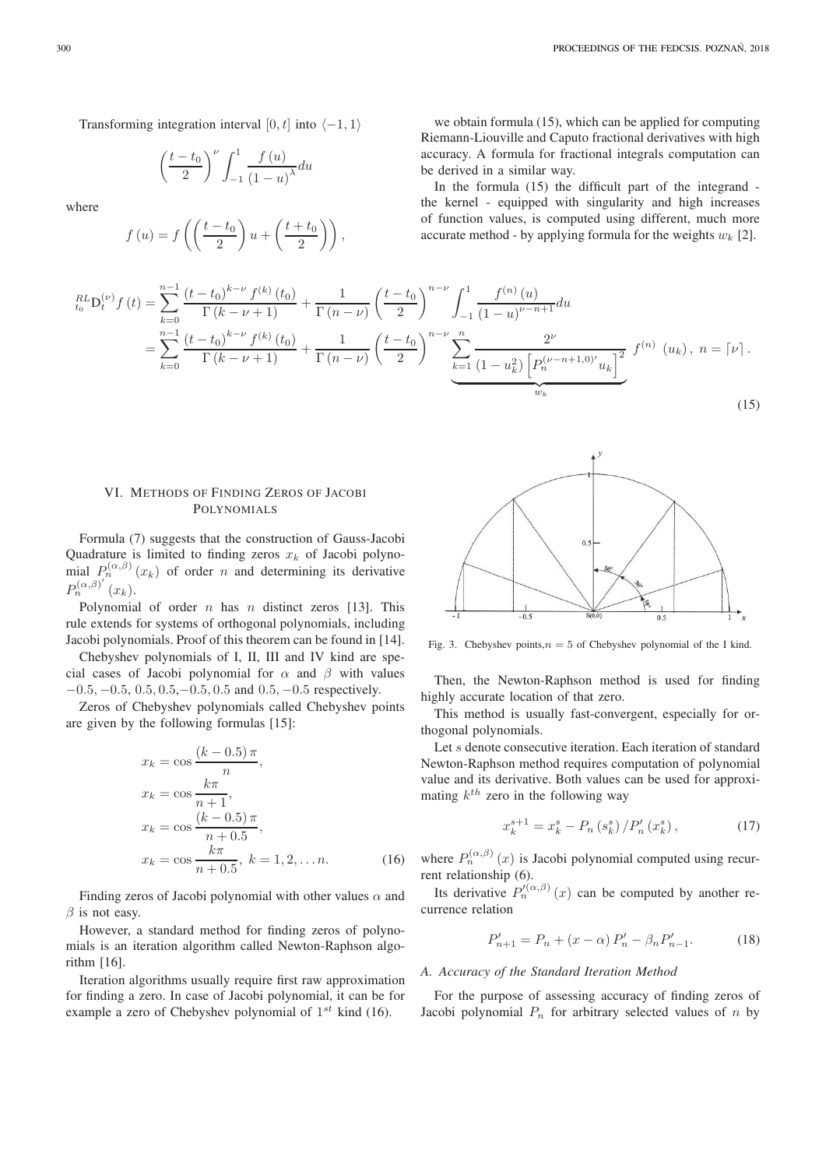$$
\left(\frac{t-t_0}{2}\right)^{\nu} \int_{-1}^{1} \frac{f(u)}{(1-u)^{\lambda}} du
$$

where

$$
f(u) = f\left(\left(\frac{t-t_0}{2}\right)u + \left(\frac{t+t_0}{2}\right)\right),\,
$$

we obtain formula (15), which can be applied for computing Riemann-Liouville and Caputo fractional derivatives with high accuracy. A formula for fractional integrals computation can be derived in a similar way.

In the formula (15) the difficult part of the integrand the kernel - equipped with singularity and high increases of function values, is computed using different, much more accurate method - by applying formula for the weights  $w_k$  [2].

$$
{}_{t_{0}}^{RL}D_{t}^{(\nu)}f(t) = \sum_{k=0}^{n-1} \frac{(t-t_{0})^{k-\nu} f^{(k)}(t_{0})}{\Gamma(k-\nu+1)} + \frac{1}{\Gamma(n-\nu)} \left(\frac{t-t_{0}}{2}\right)^{n-\nu} \int_{-1}^{1} \frac{f^{(n)}(u)}{(1-u)^{\nu-n+1}} du
$$
  
\n
$$
= \sum_{k=0}^{n-1} \frac{(t-t_{0})^{k-\nu} f^{(k)}(t_{0})}{\Gamma(k-\nu+1)} + \frac{1}{\Gamma(n-\nu)} \left(\frac{t-t_{0}}{2}\right)^{n-\nu} \underbrace{\sum_{k=1}^{n} \frac{2^{\nu}}{(1-u_{k}^{2}) \left[P_{n}^{(\nu-n+1,0)'}u_{k}\right]^{2}} f^{(n)}(u_{k}), n = \lceil \nu \rceil. \tag{15}
$$

# VI. METHODS OF FINDING ZEROS OF JACOBI POLYNOMIALS

Formula (7) suggests that the construction of Gauss-Jacobi Quadrature is limited to finding zeros  $x_k$  of Jacobi polynomial  $P_n^{(\alpha,\beta)}(x_k)$  of order n and determining its derivative  $P_n^{(\alpha,\beta)'}(x_k)$ .

Polynomial of order  $n$  has  $n$  distinct zeros [13]. This rule extends for systems of orthogonal polynomials, including Jacobi polynomials. Proof of this theorem can be found in [14].

Chebyshev polynomials of I, II, III and IV kind are special cases of Jacobi polynomial for  $\alpha$  and  $\beta$  with values  $-0.5, -0.5, 0.5, 0.5, -0.5, 0.5$  and  $0.5, -0.5$  respectively.

Zeros of Chebyshev polynomials called Chebyshev points are given by the following formulas [15]:

$$
x_k = \cos\frac{(k - 0.5)\pi}{n},
$$
  
\n
$$
x_k = \cos\frac{k\pi}{n+1},
$$
  
\n
$$
x_k = \cos\frac{(k - 0.5)\pi}{n + 0.5},
$$
  
\n
$$
x_k = \cos\frac{k\pi}{n + 0.5}, k = 1, 2, ..., n.
$$
 (16)

Finding zeros of Jacobi polynomial with other values  $\alpha$  and  $\beta$  is not easy.

However, a standard method for finding zeros of polynomials is an iteration algorithm called Newton-Raphson algorithm [16].

Iteration algorithms usually require first raw approximation for finding a zero. In case of Jacobi polynomial, it can be for example a zero of Chebyshev polynomial of  $1^{st}$  kind (16).



Fig. 3. Chebyshev points, $n = 5$  of Chebyshev polynomial of the I kind.

Then, the Newton-Raphson method is used for finding highly accurate location of that zero.

This method is usually fast-convergent, especially for orthogonal polynomials.

Let s denote consecutive iteration. Each iteration of standard Newton-Raphson method requires computation of polynomial value and its derivative. Both values can be used for approximating  $k^{th}$  zero in the following way

$$
x_k^{s+1} = x_k^s - P_n(s_k^s) / P'_n(x_k^s) , \qquad (17)
$$

where  $P_n^{(\alpha,\beta)}(x)$  is Jacobi polynomial computed using recurrent relationship (6).

Its derivative  $P_n^{(\alpha,\beta)}(x)$  can be computed by another recurrence relation

$$
P'_{n+1} = P_n + (x - \alpha) P'_n - \beta_n P'_{n-1}.
$$
 (18)

#### *A. Accuracy of the Standard Iteration Method*

For the purpose of assessing accuracy of finding zeros of Jacobi polynomial  $P_n$  for arbitrary selected values of n by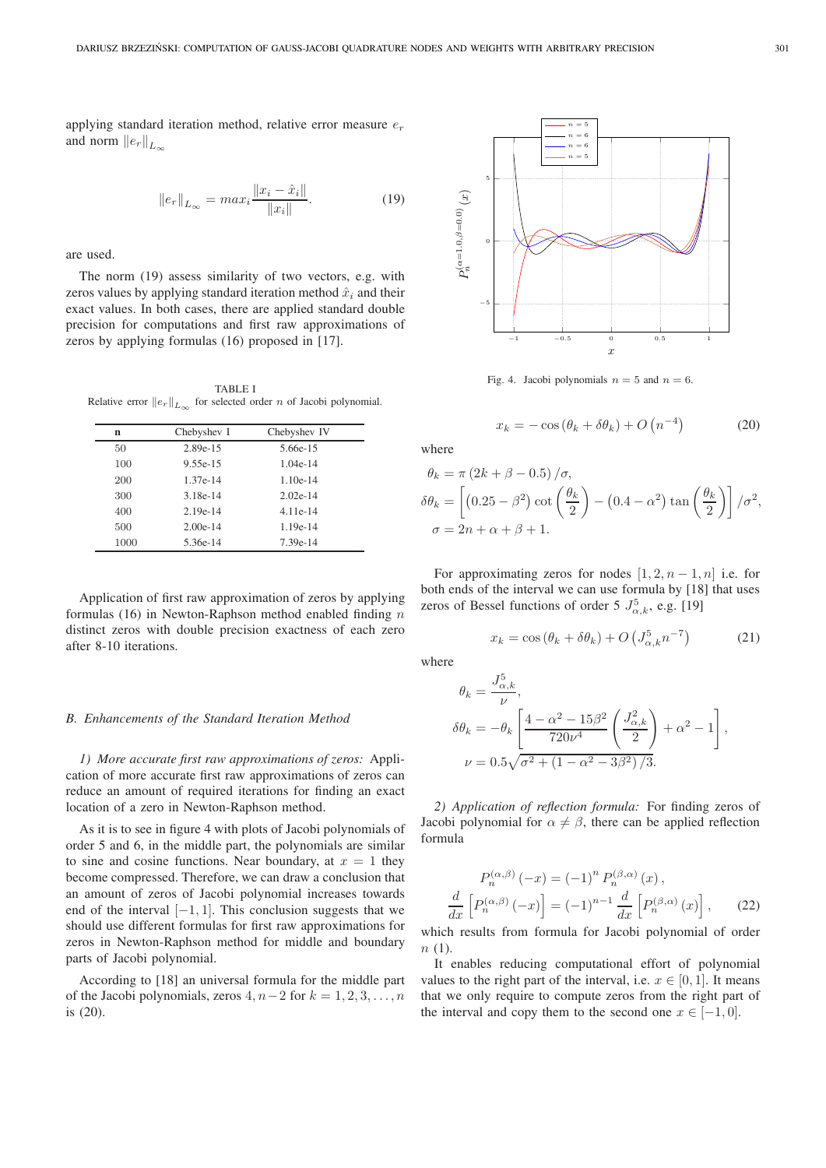applying standard iteration method, relative error measure  $e_r$ and norm  $||e_r||_{L^{\infty}}$ 

$$
||e_r||_{L_{\infty}} = max_i \frac{||x_i - \hat{x}_i||}{||x_i||}.
$$
 (19)

are used.

The norm (19) assess similarity of two vectors, e.g. with zeros values by applying standard iteration method  $\hat{x}_i$  and their exact values. In both cases, there are applied standard double precision for computations and first raw approximations of zeros by applying formulas (16) proposed in [17].

TABLE I Relative error  $||e_r||_{L_{\infty}}$  for selected order n of Jacobi polynomial.

| n    | Chebyshev I | Chebyshev IV |
|------|-------------|--------------|
| 50   | 2.89e-15    | 5.66e-15     |
| 100  | 9.55e-15    | $1.04e-14$   |
| 200  | 1.37e-14    | $1.10e-14$   |
| 300  | 3.18e-14    | $2.02e-14$   |
| 400  | $2.19e-14$  | $4.11e-14$   |
| 500  | $2.00e-14$  | 1.19e-14     |
| 1000 | 5.36e-14    | 7.39e-14     |
|      |             |              |

Application of first raw approximation of zeros by applying formulas (16) in Newton-Raphson method enabled finding  $n$ distinct zeros with double precision exactness of each zero after 8-10 iterations.

## *B. Enhancements of the Standard Iteration Method*

*1) More accurate first raw approximations of zeros:* Application of more accurate first raw approximations of zeros can reduce an amount of required iterations for finding an exact location of a zero in Newton-Raphson method.

As it is to see in figure 4 with plots of Jacobi polynomials of order 5 and 6, in the middle part, the polynomials are similar to sine and cosine functions. Near boundary, at  $x = 1$  they become compressed. Therefore, we can draw a conclusion that an amount of zeros of Jacobi polynomial increases towards end of the interval  $[-1, 1]$ . This conclusion suggests that we should use different formulas for first raw approximations for zeros in Newton-Raphson method for middle and boundary parts of Jacobi polynomial.

According to [18] an universal formula for the middle part of the Jacobi polynomials, zeros  $4, n-2$  for  $k = 1, 2, 3, \ldots, n$ is (20).



Fig. 4. Jacobi polynomials  $n = 5$  and  $n = 6$ .

$$
x_k = -\cos\left(\theta_k + \delta\theta_k\right) + O\left(n^{-4}\right) \tag{20}
$$

where

$$
\theta_k = \pi (2k + \beta - 0.5) / \sigma,
$$
  
\n
$$
\delta \theta_k = \left[ (0.25 - \beta^2) \cot \left( \frac{\theta_k}{2} \right) - (0.4 - \alpha^2) \tan \left( \frac{\theta_k}{2} \right) \right] / \sigma^2,
$$
  
\n
$$
\sigma = 2n + \alpha + \beta + 1.
$$

For approximating zeros for nodes  $[1, 2, n-1, n]$  i.e. for both ends of the interval we can use formula by [18] that uses zeros of Bessel functions of order 5  $J_{\alpha,k}^5$ , e.g. [19]

$$
x_k = \cos\left(\theta_k + \delta\theta_k\right) + O\left(J_{\alpha,k}^5 n^{-7}\right) \tag{21}
$$

where

$$
\theta_k = \frac{J_{\alpha,k}^5}{\nu},
$$
  
\n
$$
\delta\theta_k = -\theta_k \left[ \frac{4 - \alpha^2 - 15\beta^2}{720\nu^4} \left( \frac{J_{\alpha,k}^2}{2} \right) + \alpha^2 - 1 \right],
$$
  
\n
$$
\nu = 0.5\sqrt{\sigma^2 + (1 - \alpha^2 - 3\beta^2)/3}.
$$

*2) Application of reflection formula:* For finding zeros of Jacobi polynomial for  $\alpha \neq \beta$ , there can be applied reflection formula

$$
P_n^{(\alpha,\beta)}(-x) = (-1)^n P_n^{(\beta,\alpha)}(x),
$$
  

$$
\frac{d}{dx} \left[ P_n^{(\alpha,\beta)}(-x) \right] = (-1)^{n-1} \frac{d}{dx} \left[ P_n^{(\beta,\alpha)}(x) \right],
$$
 (22)

which results from formula for Jacobi polynomial of order  $n(1)$ .

It enables reducing computational effort of polynomial values to the right part of the interval, i.e.  $x \in [0, 1]$ . It means that we only require to compute zeros from the right part of the interval and copy them to the second one  $x \in [-1, 0]$ .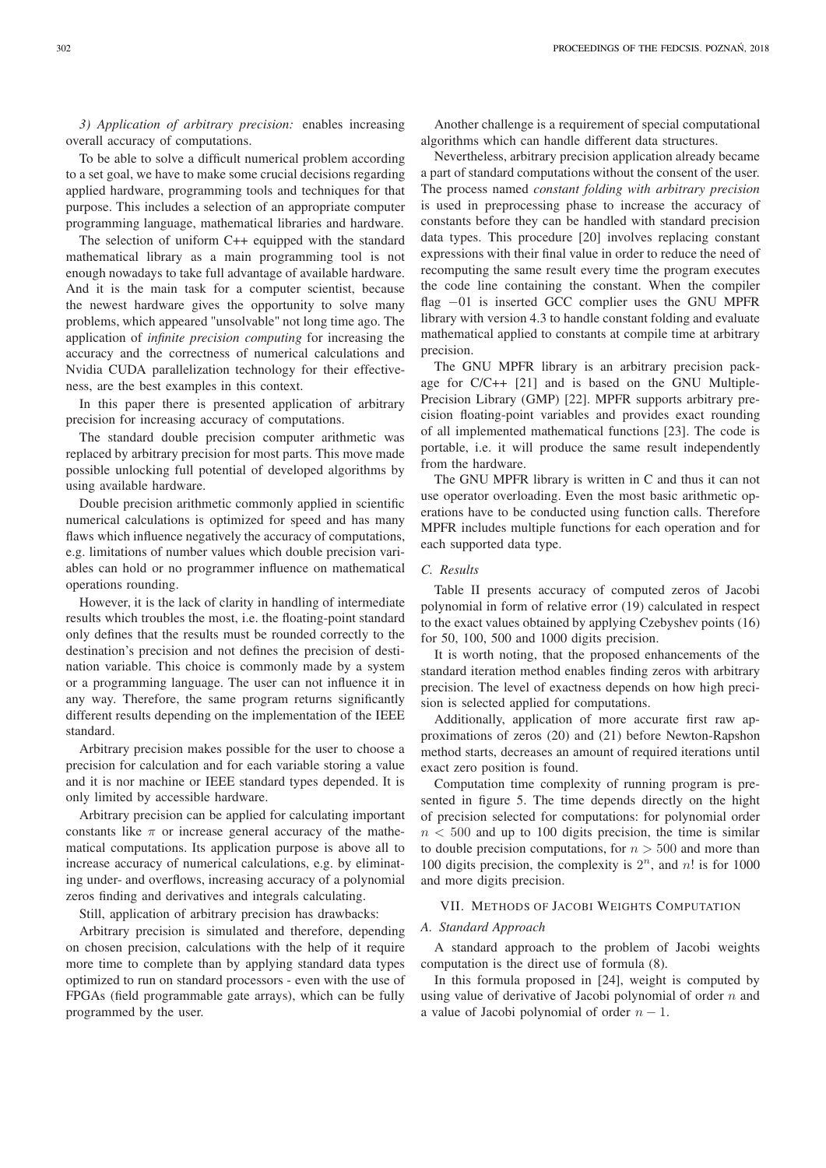*3) Application of arbitrary precision:* enables increasing overall accuracy of computations.

To be able to solve a difficult numerical problem according to a set goal, we have to make some crucial decisions regarding applied hardware, programming tools and techniques for that purpose. This includes a selection of an appropriate computer programming language, mathematical libraries and hardware.

The selection of uniform C++ equipped with the standard mathematical library as a main programming tool is not enough nowadays to take full advantage of available hardware. And it is the main task for a computer scientist, because the newest hardware gives the opportunity to solve many problems, which appeared "unsolvable" not long time ago. The application of *infinite precision computing* for increasing the accuracy and the correctness of numerical calculations and Nvidia CUDA parallelization technology for their effectiveness, are the best examples in this context.

In this paper there is presented application of arbitrary precision for increasing accuracy of computations.

The standard double precision computer arithmetic was replaced by arbitrary precision for most parts. This move made possible unlocking full potential of developed algorithms by using available hardware.

Double precision arithmetic commonly applied in scientific numerical calculations is optimized for speed and has many flaws which influence negatively the accuracy of computations, e.g. limitations of number values which double precision variables can hold or no programmer influence on mathematical operations rounding.

However, it is the lack of clarity in handling of intermediate results which troubles the most, i.e. the floating-point standard only defines that the results must be rounded correctly to the destination's precision and not defines the precision of destination variable. This choice is commonly made by a system or a programming language. The user can not influence it in any way. Therefore, the same program returns significantly different results depending on the implementation of the IEEE standard.

Arbitrary precision makes possible for the user to choose a precision for calculation and for each variable storing a value and it is nor machine or IEEE standard types depended. It is only limited by accessible hardware.

Arbitrary precision can be applied for calculating important constants like  $\pi$  or increase general accuracy of the mathematical computations. Its application purpose is above all to increase accuracy of numerical calculations, e.g. by eliminating under- and overflows, increasing accuracy of a polynomial zeros finding and derivatives and integrals calculating.

Still, application of arbitrary precision has drawbacks:

Arbitrary precision is simulated and therefore, depending on chosen precision, calculations with the help of it require more time to complete than by applying standard data types optimized to run on standard processors - even with the use of FPGAs (field programmable gate arrays), which can be fully programmed by the user.

Another challenge is a requirement of special computational algorithms which can handle different data structures.

Nevertheless, arbitrary precision application already became a part of standard computations without the consent of the user. The process named *constant folding with arbitrary precision* is used in preprocessing phase to increase the accuracy of constants before they can be handled with standard precision data types. This procedure [20] involves replacing constant expressions with their final value in order to reduce the need of recomputing the same result every time the program executes the code line containing the constant. When the compiler flag −01 is inserted GCC complier uses the GNU MPFR library with version 4.3 to handle constant folding and evaluate mathematical applied to constants at compile time at arbitrary precision.

The GNU MPFR library is an arbitrary precision package for C/C++ [21] and is based on the GNU Multiple-Precision Library (GMP) [22]. MPFR supports arbitrary precision floating-point variables and provides exact rounding of all implemented mathematical functions [23]. The code is portable, i.e. it will produce the same result independently from the hardware.

The GNU MPFR library is written in C and thus it can not use operator overloading. Even the most basic arithmetic operations have to be conducted using function calls. Therefore MPFR includes multiple functions for each operation and for each supported data type.

# *C. Results*

Table II presents accuracy of computed zeros of Jacobi polynomial in form of relative error (19) calculated in respect to the exact values obtained by applying Czebyshev points (16) for 50, 100, 500 and 1000 digits precision.

It is worth noting, that the proposed enhancements of the standard iteration method enables finding zeros with arbitrary precision. The level of exactness depends on how high precision is selected applied for computations.

Additionally, application of more accurate first raw approximations of zeros (20) and (21) before Newton-Rapshon method starts, decreases an amount of required iterations until exact zero position is found.

Computation time complexity of running program is presented in figure 5. The time depends directly on the hight of precision selected for computations: for polynomial order  $n < 500$  and up to 100 digits precision, the time is similar to double precision computations, for  $n > 500$  and more than 100 digits precision, the complexity is  $2^n$ , and n! is for 1000 and more digits precision.

## VII. METHODS OF JACOBI WEIGHTS COMPUTATION

#### *A. Standard Approach*

A standard approach to the problem of Jacobi weights computation is the direct use of formula (8).

In this formula proposed in [24], weight is computed by using value of derivative of Jacobi polynomial of order  $n$  and a value of Jacobi polynomial of order  $n - 1$ .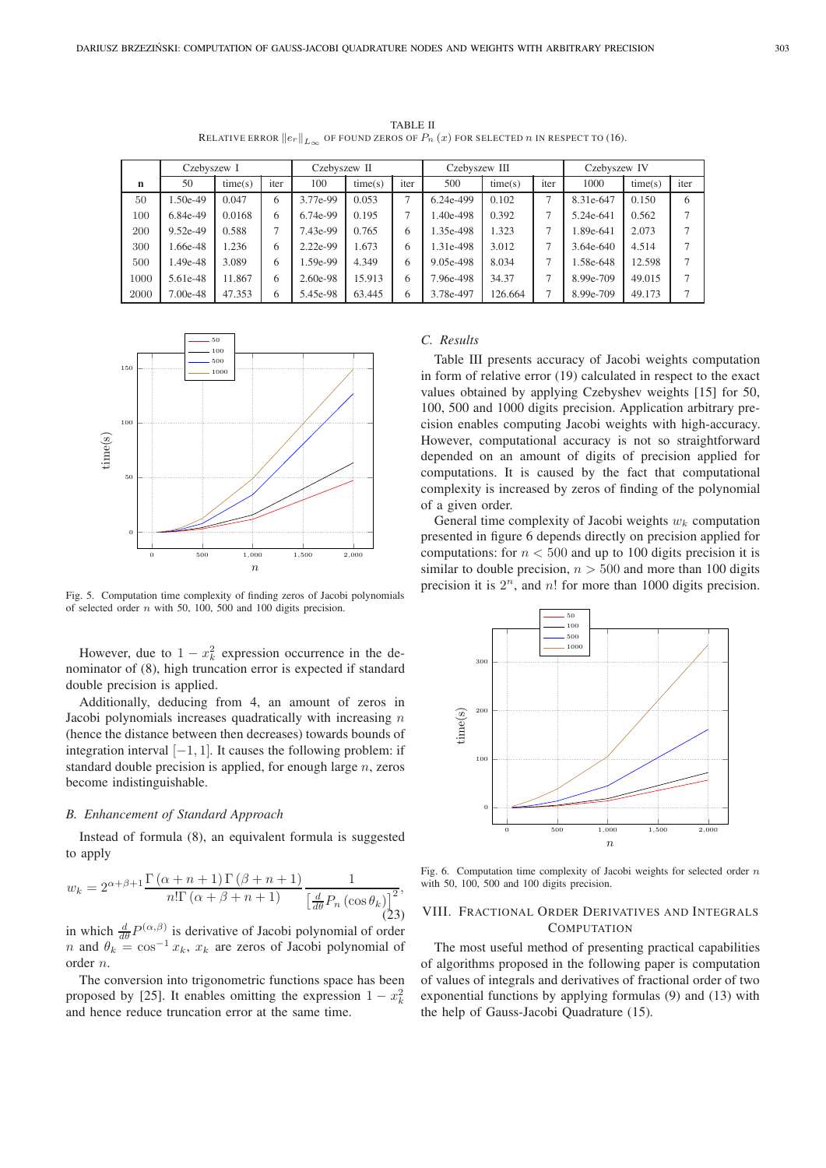|             | CZEDVSZEW 1 |         |      | CZEDVSZEW II |         |      | CZEDVSZEW III |         |      | CZEDYSZEW IV |         |      |
|-------------|-------------|---------|------|--------------|---------|------|---------------|---------|------|--------------|---------|------|
| $\mathbf n$ | 50          | time(s) | iter | 100          | time(s) | iter | 500           | time(s) | iter | 1000         | time(s) | iter |
| 50          | 1.50e-49    | 0.047   | 6    | 3.77e-99     | 0.053   |      | 6.24e-499     | 0.102   |      | 8.31e-647    | 0.150   | 6    |
| 100         | 6.84e-49    | 0.0168  | 6    | 6.74e-99     | 0.195   |      | 1.40e-498     | 0.392   |      | 5.24e-641    | 0.562   | 7    |
| 200         | 9.52e-49    | 0.588   |      | 7.43e-99     | 0.765   | 6    | 1.35e-498     | 1.323   |      | 1.89e-641    | 2.073   | 7    |
| 300         | 1.66e-48    | 1.236   | 6    | 2.22e-99     | 1.673   | 6    | 1.31e-498     | 3.012   |      | 3.64e-640    | 4.514   | 7    |
| 500         | 1.49e-48    | 3.089   | 6    | 1.59e-99     | 4.349   | 6    | 9.05e-498     | 8.034   |      | 1.58e-648    | 12.598  | 7    |
| 1000        | 5.61e-48    | 11.867  | 6    | 2.60e-98     | 15.913  | 6    | 7.96e-498     | 34.37   |      | 8.99e-709    | 49.015  | 7    |
| 2000        | 7.00e-48    | 47.353  | 6    | 5.45e-98     | 63.445  |      | 3.78e-497     | 126.664 |      | 8.99e-709    | 49.173  |      |



Fig. 5. Computation time complexity of finding zeros of Jacobi polynomials of selected order  $n$  with 50, 100, 500 and 100 digits precision.

However, due to  $1 - x_k^2$  expression occurrence in the denominator of (8), high truncation error is expected if standard double precision is applied.

Additionally, deducing from 4, an amount of zeros in Jacobi polynomials increases quadratically with increasing  $n$ (hence the distance between then decreases) towards bounds of integration interval  $[-1, 1]$ . It causes the following problem: if standard double precision is applied, for enough large  $n$ , zeros become indistinguishable.

## *B. Enhancement of Standard Approach*

Instead of formula (8), an equivalent formula is suggested to apply

$$
w_k = 2^{\alpha + \beta + 1} \frac{\Gamma(\alpha + n + 1)\Gamma(\beta + n + 1)}{n!\Gamma(\alpha + \beta + n + 1)} \frac{1}{\left[\frac{d}{d\theta}P_n(\cos\theta_k)\right]^2},\tag{23}
$$

in which  $\frac{d}{d\theta}P^{(\alpha,\beta)}$  is derivative of Jacobi polynomial of order n and  $\theta_k = \cos^{-1} x_k$ ,  $x_k$  are zeros of Jacobi polynomial of order n.

The conversion into trigonometric functions space has been proposed by [25]. It enables omitting the expression  $1 - x_k^2$ and hence reduce truncation error at the same time.

# *C. Results*

Table III presents accuracy of Jacobi weights computation in form of relative error (19) calculated in respect to the exact values obtained by applying Czebyshev weights [15] for 50, 100, 500 and 1000 digits precision. Application arbitrary precision enables computing Jacobi weights with high-accuracy. However, computational accuracy is not so straightforward depended on an amount of digits of precision applied for computations. It is caused by the fact that computational complexity is increased by zeros of finding of the polynomial of a given order.

General time complexity of Jacobi weights  $w_k$  computation presented in figure 6 depends directly on precision applied for computations: for  $n < 500$  and up to 100 digits precision it is similar to double precision,  $n > 500$  and more than 100 digits precision it is  $2^n$ , and n! for more than 1000 digits precision.



Fig. 6. Computation time complexity of Jacobi weights for selected order  $n$ with 50, 100, 500 and 100 digits precision.

## VIII. FRACTIONAL ORDER DERIVATIVES AND INTEGRALS **COMPUTATION**

The most useful method of presenting practical capabilities of algorithms proposed in the following paper is computation of values of integrals and derivatives of fractional order of two exponential functions by applying formulas (9) and (13) with the help of Gauss-Jacobi Quadrature (15).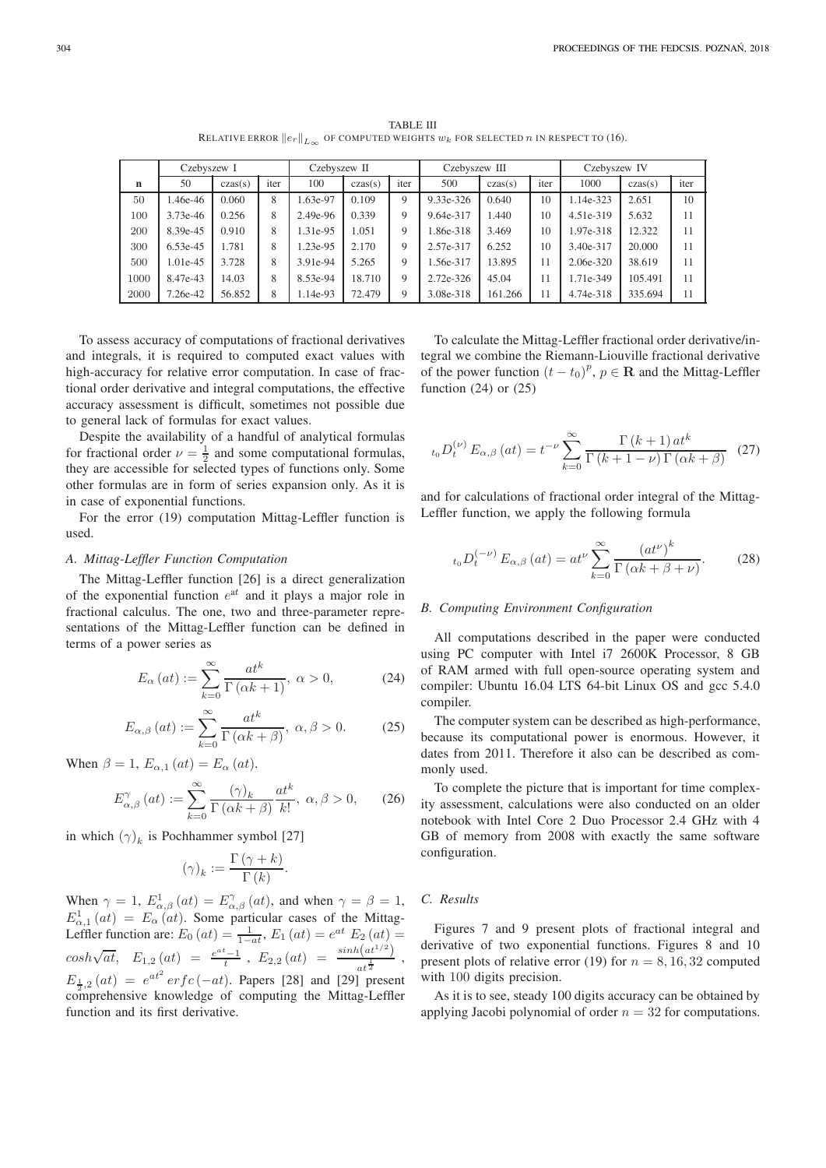TABLE III RELATIVE ERROR  $||e_r||_{L_{\infty}}$  OF COMPUTED WEIGHTS  $w_k$  FOR SELECTED n IN RESPECT TO (16).

|      | Czebyszew I |         |      | Czebyszew II |           |      | Czebyszew III |         |      | Czebyszew IV |         |      |
|------|-------------|---------|------|--------------|-----------|------|---------------|---------|------|--------------|---------|------|
| n    | 50          | czas(s) | iter | 100          | $\csc(s)$ | iter | 500           | czas(s) | iter | 1000         | czas(s) | iter |
| 50   | .46e-46     | 0.060   | 8    | 1.63e-97     | 0.109     | 9    | 9.33e-326     | 0.640   | 10   | 1.14e-323    | 2.651   | 10   |
| 100  | 3.73e-46    | 0.256   | 8    | 2.49e-96     | 0.339     | 9    | 9.64e-317     | 1.440   | 10   | 4.51e-319    | 5.632   | 11   |
| 200  | 8.39e-45    | 0.910   | 8    | 1.31e-95     | 1.051     | 9    | 1.86e-318     | 3.469   | 10   | 1.97e-318    | 12.322  | 11   |
| 300  | 6.53e-45    | 1.781   | 8    | 1.23e-95     | 2.170     | 9    | 2.57e-317     | 6.252   | 10   | 3.40e-317    | 20,000  | 11   |
| 500  | 1.01e-45    | 3.728   | 8    | 3.91e-94     | 5.265     | 9    | 1.56e-317     | 13.895  | 11   | $2.06e-320$  | 38.619  | 11   |
| 1000 | 8.47e-43    | 14.03   | 8    | 8.53e-94     | 18.710    | 9    | 2.72e-326     | 45.04   | 11   | 1.71e-349    | 105.491 | 11   |
| 2000 | 7.26e-42    | 56.852  | 8    | 1.14e-93     | 72.479    | 9    | 3.08e-318     | 161.266 | 11   | 4.74e-318    | 335.694 | 11   |

To assess accuracy of computations of fractional derivatives and integrals, it is required to computed exact values with high-accuracy for relative error computation. In case of fractional order derivative and integral computations, the effective accuracy assessment is difficult, sometimes not possible due to general lack of formulas for exact values.

Despite the availability of a handful of analytical formulas for fractional order  $\nu = \frac{1}{2}$  and some computational formulas, they are accessible for selected types of functions only. Some other formulas are in form of series expansion only. As it is in case of exponential functions.

For the error (19) computation Mittag-Leffler function is used.

#### *A. Mittag-Leffler Function Computation*

The Mittag-Leffler function [26] is a direct generalization of the exponential function  $e^{at}$  and it plays a major role in fractional calculus. The one, two and three-parameter representations of the Mittag-Leffler function can be defined in terms of a power series as

$$
E_{\alpha}\left(at\right) := \sum_{k=0}^{\infty} \frac{at^k}{\Gamma\left(\alpha k + 1\right)}, \ \alpha > 0,\tag{24}
$$

$$
E_{\alpha,\beta}(at) := \sum_{k=0}^{\infty} \frac{at^k}{\Gamma(\alpha k + \beta)}, \ \alpha, \beta > 0. \tag{25}
$$

When  $\beta = 1$ ,  $E_{\alpha,1}(at) = E_{\alpha}(at)$ .

$$
E_{\alpha,\beta}^{\gamma}(at) := \sum_{k=0}^{\infty} \frac{(\gamma)_k}{\Gamma(\alpha k + \beta)} \frac{at^k}{k!}, \ \alpha, \beta > 0, \qquad (26)
$$

in which  $(\gamma)_k$  is Pochhammer symbol [27]

$$
(\gamma)_k := \frac{\Gamma(\gamma + k)}{\Gamma(k)}.
$$

When  $\gamma = 1$ ,  $E^1_{\alpha,\beta}(at) = E^{\gamma}_{\alpha,\beta}(at)$ , and when  $\gamma = \beta = 1$ ,  $E_{\alpha,1}^1(at) = E_{\alpha}(at)$ . Some particular cases of the Mittag-Leffler function are:  $E_0(at) = \frac{1}{1-at}$ ,  $E_1(at) = e^{at} E_2(at) =$  $cosh\sqrt{at}$ ,  $E_{1,2}(at) = \frac{e^{at}-1}{t}$ ,  $E_{2,2}(at) = \frac{\sinh(at^{1/2})}{at^{\frac{1}{2}}}$  $at^{\frac{1}{2}}$ ,  $E_{\frac{1}{2},2}(at) = e^{at^2} erfc(-at)$ . Papers [28] and [29] present comprehensive knowledge of computing the Mittag-Leffler function and its first derivative.

To calculate the Mittag-Leffler fractional order derivative/integral we combine the Riemann-Liouville fractional derivative of the power function  $(t - t_0)^p$ ,  $p \in \mathbf{R}$  and the Mittag-Leffler function (24) or (25)

$$
t_0 D_t^{(\nu)} E_{\alpha,\beta}(at) = t^{-\nu} \sum_{k=0}^{\infty} \frac{\Gamma(k+1) \, at^k}{\Gamma(k+1-\nu) \, \Gamma(\alpha k+\beta)} \tag{27}
$$

and for calculations of fractional order integral of the Mittag-Leffler function, we apply the following formula

$$
{}_{t_0}D_t^{(-\nu)} E_{\alpha,\beta}(at) = at^{\nu} \sum_{k=0}^{\infty} \frac{\left(at^{\nu}\right)^k}{\Gamma\left(\alpha k + \beta + \nu\right)}.\tag{28}
$$

## *B. Computing Environment Configuration*

All computations described in the paper were conducted using PC computer with Intel i7 2600K Processor, 8 GB of RAM armed with full open-source operating system and compiler: Ubuntu 16.04 LTS 64-bit Linux OS and gcc 5.4.0 compiler.

The computer system can be described as high-performance, because its computational power is enormous. However, it dates from 2011. Therefore it also can be described as commonly used.

To complete the picture that is important for time complexity assessment, calculations were also conducted on an older notebook with Intel Core 2 Duo Processor 2.4 GHz with 4 GB of memory from 2008 with exactly the same software configuration.

## *C. Results*

Figures 7 and 9 present plots of fractional integral and derivative of two exponential functions. Figures 8 and 10 present plots of relative error (19) for  $n = 8, 16, 32$  computed with 100 digits precision.

As it is to see, steady 100 digits accuracy can be obtained by applying Jacobi polynomial of order  $n = 32$  for computations.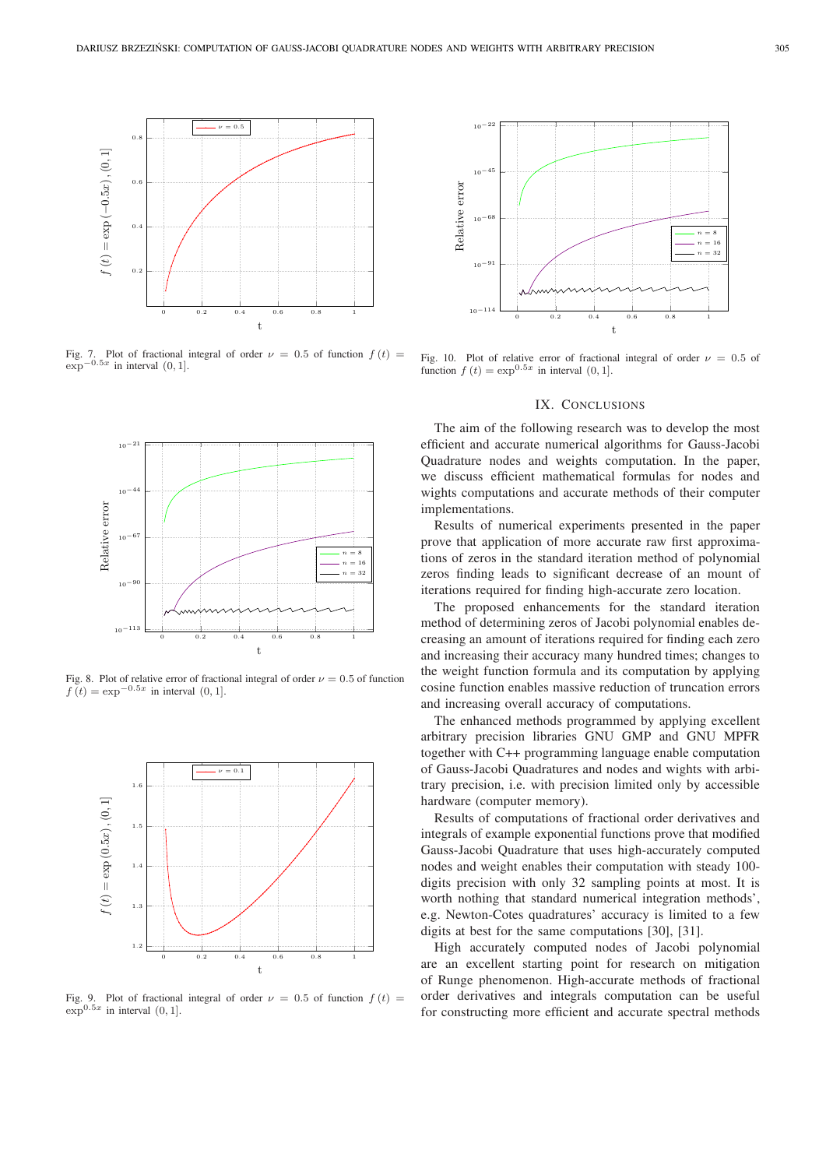

Fig. 7. Plot of fractional integral of order  $\nu = 0.5$  of function  $f(t) =$  $\exp^{-0.5x}$  in interval  $(0, 1]$ .



Fig. 8. Plot of relative error of fractional integral of order  $\nu = 0.5$  of function  $f(t) = \exp^{-0.5x}$  in interval  $(0, 1]$ .



Fig. 9. Plot of fractional integral of order  $\nu = 0.5$  of function  $f(t) =$  $\exp^{0.5x}$  in interval  $(0, 1]$ .



Fig. 10. Plot of relative error of fractional integral of order  $\nu = 0.5$  of function  $f(t) = \exp^{0.5x}$  in interval  $(0, 1]$ .

#### IX. CONCLUSIONS

The aim of the following research was to develop the most efficient and accurate numerical algorithms for Gauss-Jacobi Quadrature nodes and weights computation. In the paper, we discuss efficient mathematical formulas for nodes and wights computations and accurate methods of their computer implementations.

Results of numerical experiments presented in the paper prove that application of more accurate raw first approximations of zeros in the standard iteration method of polynomial zeros finding leads to significant decrease of an mount of iterations required for finding high-accurate zero location.

The proposed enhancements for the standard iteration method of determining zeros of Jacobi polynomial enables decreasing an amount of iterations required for finding each zero and increasing their accuracy many hundred times; changes to the weight function formula and its computation by applying cosine function enables massive reduction of truncation errors and increasing overall accuracy of computations.

The enhanced methods programmed by applying excellent arbitrary precision libraries GNU GMP and GNU MPFR together with C++ programming language enable computation of Gauss-Jacobi Quadratures and nodes and wights with arbitrary precision, i.e. with precision limited only by accessible hardware (computer memory).

Results of computations of fractional order derivatives and integrals of example exponential functions prove that modified Gauss-Jacobi Quadrature that uses high-accurately computed nodes and weight enables their computation with steady 100 digits precision with only 32 sampling points at most. It is worth nothing that standard numerical integration methods', e.g. Newton-Cotes quadratures' accuracy is limited to a few digits at best for the same computations [30], [31].

High accurately computed nodes of Jacobi polynomial are an excellent starting point for research on mitigation of Runge phenomenon. High-accurate methods of fractional order derivatives and integrals computation can be useful for constructing more efficient and accurate spectral methods